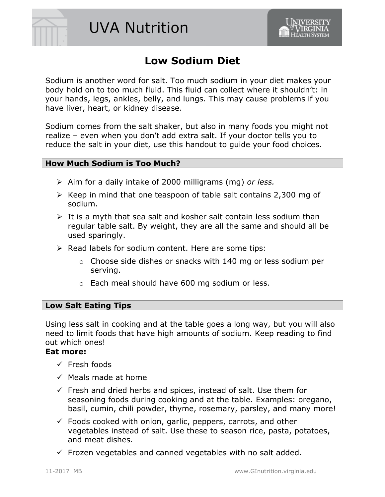



# **Low Sodium Diet**

Sodium is another word for salt. Too much sodium in your diet makes your body hold on to too much fluid. This fluid can collect where it shouldn't: in your hands, legs, ankles, belly, and lungs. This may cause problems if you have liver, heart, or kidney disease.

Sodium comes from the salt shaker, but also in many foods you might not realize – even when you don't add extra salt. If your doctor tells you to reduce the salt in your diet, use this handout to guide your food choices.

## **How Much Sodium is Too Much?**

- Aim for a daily intake of 2000 milligrams (mg) *or less.*
- $\triangleright$  Keep in mind that one teaspoon of table salt contains 2,300 mg of sodium.
- $\triangleright$  It is a myth that sea salt and kosher salt contain less sodium than regular table salt. By weight, they are all the same and should all be used sparingly.
- $\triangleright$  Read labels for sodium content. Here are some tips:
	- o Choose side dishes or snacks with 140 mg or less sodium per serving.
	- o Each meal should have 600 mg sodium or less.

#### **Low Salt Eating Tips**

Using less salt in cooking and at the table goes a long way, but you will also need to limit foods that have high amounts of sodium. Keep reading to find out which ones!

#### **Eat more:**

- $\checkmark$  Fresh foods
- $\checkmark$  Meals made at home
- $\checkmark$  Fresh and dried herbs and spices, instead of salt. Use them for seasoning foods during cooking and at the table. Examples: oregano, basil, cumin, chili powder, thyme, rosemary, parsley, and many more!
- $\checkmark$  Foods cooked with onion, garlic, peppers, carrots, and other vegetables instead of salt. Use these to season rice, pasta, potatoes, and meat dishes.
- $\checkmark$  Frozen vegetables and canned vegetables with no salt added.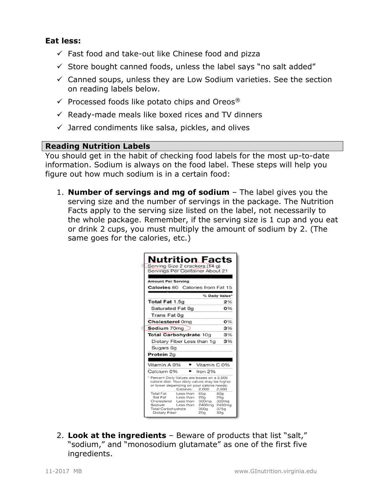## **Eat less:**

- $\checkmark$  Fast food and take-out like Chinese food and pizza
- $\checkmark$  Store bought canned foods, unless the label says "no salt added"
- $\checkmark$  Canned soups, unless they are Low Sodium varieties. See the section on reading labels below.
- $\checkmark$  Processed foods like potato chips and Oreos®
- $\checkmark$  Ready-made meals like boxed rices and TV dinners
- $\checkmark$  Jarred condiments like salsa, pickles, and olives

## **Reading Nutrition Labels**

You should get in the habit of checking food labels for the most up-to-date information. Sodium is always on the food label. These steps will help you figure out how much sodium is in a certain food:

1. **Number of servings and mg of sodium** – The label gives you the serving size and the number of servings in the package. The Nutrition Facts apply to the serving size listed on the label, not necessarily to the whole package. Remember, if the serving size is 1 cup and you eat or drink 2 cups, you must multiply the amount of sodium by 2. (The same goes for the calories, etc.)

| <b>Nutrition Facts</b><br>Serving Size 2 crackers (124 g)<br>Servings Per Container About 21<br>Amount Per Servina                                                                                                                    |  |  |
|---------------------------------------------------------------------------------------------------------------------------------------------------------------------------------------------------------------------------------------|--|--|
| Calories 60 Calories from Fat 15                                                                                                                                                                                                      |  |  |
| % Daily Value*                                                                                                                                                                                                                        |  |  |
| Total Fat 1.5g<br>2%                                                                                                                                                                                                                  |  |  |
| 0%<br>Saturated Fat 0g                                                                                                                                                                                                                |  |  |
| Trans Fat 0g                                                                                                                                                                                                                          |  |  |
| Cholesterol Oma<br>0%                                                                                                                                                                                                                 |  |  |
| 3%<br>Sodium 70ma                                                                                                                                                                                                                     |  |  |
| Total Carbohydrate 10g<br>3%                                                                                                                                                                                                          |  |  |
| 3%<br>Dietary Fiber Less than 1g                                                                                                                                                                                                      |  |  |
| Sugars 0g                                                                                                                                                                                                                             |  |  |
| Protein 2g                                                                                                                                                                                                                            |  |  |
|                                                                                                                                                                                                                                       |  |  |
| Vitamin A 0%<br>● Vitamin C 0%                                                                                                                                                                                                        |  |  |
| Calcium 0% -<br>Iron 2%                                                                                                                                                                                                               |  |  |
| * Percent Daily Values are based on a 2,000<br>calorie diet. Your daily values may be higher<br>or lower depending on your calorie needs:<br>Calcries:<br>2.000<br>2,500                                                              |  |  |
| Total Fat<br>65a<br>Less than<br>80a<br>Sat Fat<br>Less than<br>200<br>250<br>Cholesterol<br>Less than<br>300ma<br>300mg<br>Sodium<br>Less than<br>2400mg 2400mg<br>Total Carbohydrate<br>300a<br>375a<br>Dietary Fiber<br>259<br>30g |  |  |

2. **Look at the ingredients** – Beware of products that list "salt," "sodium," and "monosodium glutamate" as one of the first five ingredients.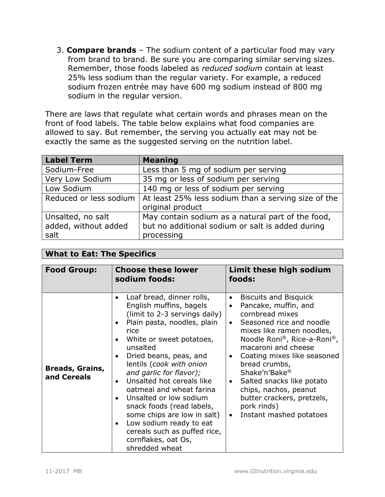3. **Compare brands** – The sodium content of a particular food may vary from brand to brand. Be sure you are comparing similar serving sizes. Remember, those foods labeled as *reduced sodium* contain at least 25% less sodium than the regular variety. For example, a reduced sodium frozen entrée may have 600 mg sodium instead of 800 mg sodium in the regular version.

There are laws that regulate what certain words and phrases mean on the front of food labels. The table below explains what food companies are allowed to say. But remember, the serving you actually eat may not be exactly the same as the suggested serving on the nutrition label.

| <b>Label Term</b>                                 | <b>Meaning</b>                                                                                                      |
|---------------------------------------------------|---------------------------------------------------------------------------------------------------------------------|
| Sodium-Free                                       | Less than 5 mg of sodium per serving                                                                                |
| Very Low Sodium                                   | 35 mg or less of sodium per serving                                                                                 |
| Low Sodium                                        | 140 mg or less of sodium per serving                                                                                |
| Reduced or less sodium                            | At least 25% less sodium than a serving size of the<br>original product                                             |
| Unsalted, no salt<br>added, without added<br>salt | May contain sodium as a natural part of the food,<br>but no additional sodium or salt is added during<br>processing |

#### **What to Eat: The Specifics**

| <b>Food Group:</b>                    | <b>Choose these lower</b><br>sodium foods:                                                                                                                                                                                                                                                                                                                                                                                                                                                                            | Limit these high sodium<br>foods:                                                                                                                                                                                                                                                                                                                                                                                                        |
|---------------------------------------|-----------------------------------------------------------------------------------------------------------------------------------------------------------------------------------------------------------------------------------------------------------------------------------------------------------------------------------------------------------------------------------------------------------------------------------------------------------------------------------------------------------------------|------------------------------------------------------------------------------------------------------------------------------------------------------------------------------------------------------------------------------------------------------------------------------------------------------------------------------------------------------------------------------------------------------------------------------------------|
| <b>Breads, Grains,</b><br>and Cereals | Loaf bread, dinner rolls,<br>English muffins, bagels<br>(limit to 2-3 servings daily)<br>Plain pasta, noodles, plain<br>rice<br>White or sweet potatoes,<br>unsalted<br>Dried beans, peas, and<br>lentils (cook with onion<br>and garlic for flavor);<br>Unsalted hot cereals like<br>oatmeal and wheat farina<br>Unsalted or low sodium<br>snack foods (read labels,<br>some chips are low in salt)<br>Low sodium ready to eat<br>$\bullet$<br>cereals such as puffed rice,<br>cornflakes, oat Os,<br>shredded wheat | <b>Biscuits and Bisquick</b><br>Pancake, muffin, and<br>cornbread mixes<br>Seasoned rice and noodle<br>$\bullet$<br>mixes like ramen noodles,<br>Noodle Roni®, Rice-a-Roni®,<br>macaroni and cheese<br>Coating mixes like seasoned<br>bread crumbs,<br>Shake'n'Bake <sup>®</sup><br>Salted snacks like potato<br>$\bullet$<br>chips, nachos, peanut<br>butter crackers, pretzels,<br>pork rinds)<br>Instant mashed potatoes<br>$\bullet$ |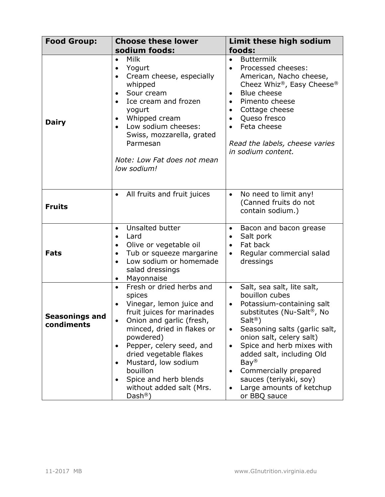| <b>Food Group:</b>           | <b>Choose these lower</b>                                                                                                                                                                                                                                                                                                                                                                    | Limit these high sodium                                                                                                                                                                                                                                                                                                                                                                                        |
|------------------------------|----------------------------------------------------------------------------------------------------------------------------------------------------------------------------------------------------------------------------------------------------------------------------------------------------------------------------------------------------------------------------------------------|----------------------------------------------------------------------------------------------------------------------------------------------------------------------------------------------------------------------------------------------------------------------------------------------------------------------------------------------------------------------------------------------------------------|
|                              | sodium foods:                                                                                                                                                                                                                                                                                                                                                                                | foods:                                                                                                                                                                                                                                                                                                                                                                                                         |
| <b>Dairy</b>                 | <b>Milk</b><br>Yogurt<br>Cream cheese, especially<br>whipped<br>Sour cream<br>Ice cream and frozen<br>yogurt<br>Whipped cream<br>Low sodium cheeses:<br>$\bullet$<br>Swiss, mozzarella, grated<br>Parmesan<br>Note: Low Fat does not mean<br>low sodium!                                                                                                                                     | <b>Buttermilk</b><br>$\bullet$<br>Processed cheeses:<br>American, Nacho cheese,<br>Cheez Whiz <sup>®</sup> , Easy Cheese <sup>®</sup><br>Blue cheese<br>$\bullet$<br>Pimento cheese<br>$\bullet$<br>Cottage cheese<br>$\bullet$<br>Queso fresco<br>Feta cheese<br>Read the labels, cheese varies<br>in sodium content.                                                                                         |
|                              |                                                                                                                                                                                                                                                                                                                                                                                              |                                                                                                                                                                                                                                                                                                                                                                                                                |
| <b>Fruits</b>                | All fruits and fruit juices<br>$\bullet$                                                                                                                                                                                                                                                                                                                                                     | No need to limit any!<br>$\bullet$<br>(Canned fruits do not<br>contain sodium.)                                                                                                                                                                                                                                                                                                                                |
| <b>Fats</b>                  | Unsalted butter<br>$\bullet$<br>Lard<br>Olive or vegetable oil<br>٠<br>Tub or squeeze margarine<br>Low sodium or homemade<br>$\bullet$<br>salad dressings<br>Mayonnaise                                                                                                                                                                                                                      | Bacon and bacon grease<br>$\bullet$<br>Salt pork<br>$\bullet$<br>Fat back<br>$\bullet$<br>Regular commercial salad<br>dressings                                                                                                                                                                                                                                                                                |
| Seasonings and<br>condiments | Fresh or dried herbs and<br>spices<br>Vinegar, lemon juice and<br>$\bullet$<br>fruit juices for marinades<br>Onion and garlic (fresh,<br>minced, dried in flakes or<br>powdered)<br>Pepper, celery seed, and<br>$\bullet$<br>dried vegetable flakes<br>Mustard, low sodium<br>$\bullet$<br>bouillon<br>Spice and herb blends<br>$\bullet$<br>without added salt (Mrs.<br>$Dash^{\circledR})$ | Salt, sea salt, lite salt,<br>bouillon cubes<br>Potassium-containing salt<br>$\bullet$<br>substitutes (Nu-Salt®, No<br>Salt <sup>(8)</sup><br>Seasoning salts (garlic salt,<br>onion salt, celery salt)<br>Spice and herb mixes with<br>$\bullet$<br>added salt, including Old<br>Bay <sup>®</sup><br>Commercially prepared<br>$\bullet$<br>sauces (teriyaki, soy)<br>Large amounts of ketchup<br>or BBQ sauce |